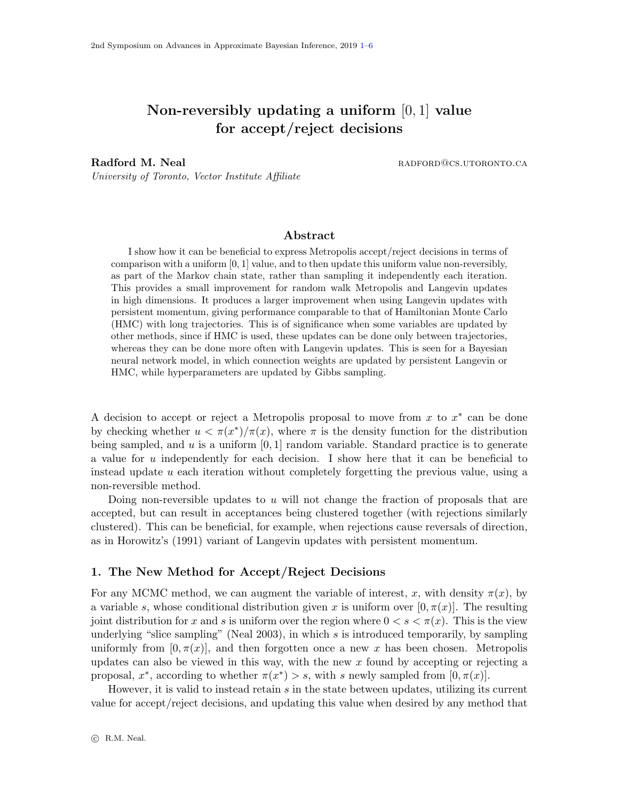# <span id="page-0-0"></span>Non-reversibly updating a uniform [0, 1] value for accept/reject decisions

Radford M. Neal **Radford M. Neal radio radio radio radio radio radio radio radio radio radio radio radio radio r** 

University of Toronto, Vector Institute Affiliate

## Abstract

I show how it can be beneficial to express Metropolis accept/reject decisions in terms of comparison with a uniform  $[0, 1]$  value, and to then update this uniform value non-reversibly, as part of the Markov chain state, rather than sampling it independently each iteration. This provides a small improvement for random walk Metropolis and Langevin updates in high dimensions. It produces a larger improvement when using Langevin updates with persistent momentum, giving performance comparable to that of Hamiltonian Monte Carlo (HMC) with long trajectories. This is of significance when some variables are updated by other methods, since if HMC is used, these updates can be done only between trajectories, whereas they can be done more often with Langevin updates. This is seen for a Bayesian neural network model, in which connection weights are updated by persistent Langevin or HMC, while hyperparameters are updated by Gibbs sampling.

A decision to accept or reject a Metropolis proposal to move from  $x$  to  $x^*$  can be done by checking whether  $u < \pi(x^*)/\pi(x)$ , where  $\pi$  is the density function for the distribution being sampled, and  $u$  is a uniform  $[0, 1]$  random variable. Standard practice is to generate a value for u independently for each decision. I show here that it can be beneficial to instead update u each iteration without completely forgetting the previous value, using a non-reversible method.

Doing non-reversible updates to  $u$  will not change the fraction of proposals that are accepted, but can result in acceptances being clustered together (with rejections similarly clustered). This can be beneficial, for example, when rejections cause reversals of direction, as in Horowitz's (1991) variant of Langevin updates with persistent momentum.

### 1. The New Method for Accept/Reject Decisions

For any MCMC method, we can augment the variable of interest, x, with density  $\pi(x)$ , by a variable s, whose conditional distribution given x is uniform over  $[0, \pi(x)]$ . The resulting joint distribution for x and s is uniform over the region where  $0 < s < \pi(x)$ . This is the view underlying "slice sampling" (Neal 2003), in which  $s$  is introduced temporarily, by sampling uniformly from  $[0, \pi(x)]$ , and then forgotten once a new x has been chosen. Metropolis updates can also be viewed in this way, with the new  $x$  found by accepting or rejecting a proposal,  $x^*$ , according to whether  $\pi(x^*) > s$ , with s newly sampled from  $[0, \pi(x)]$ .

However, it is valid to instead retain  $s$  in the state between updates, utilizing its current value for accept/reject decisions, and updating this value when desired by any method that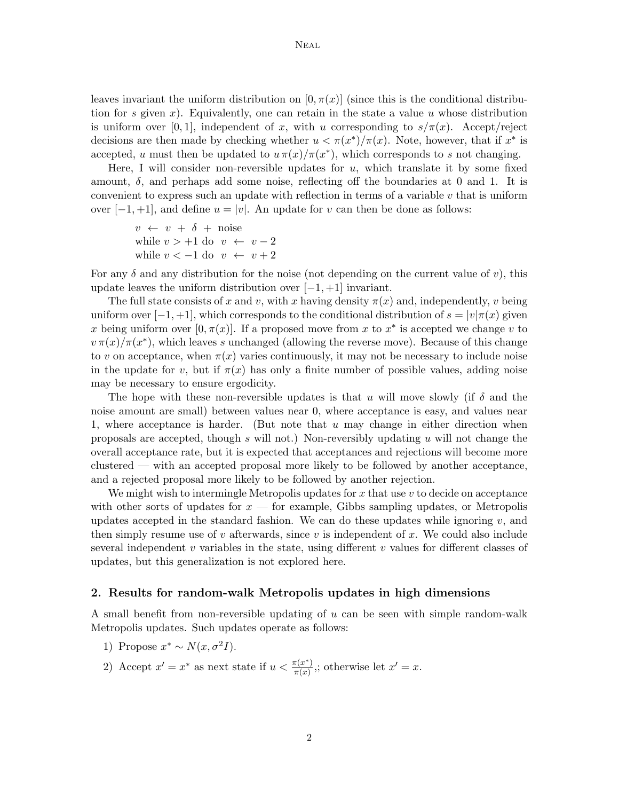leaves invariant the uniform distribution on  $[0, \pi(x)]$  (since this is the conditional distribution for s given x). Equivalently, one can retain in the state a value u whose distribution is uniform over [0, 1], independent of x, with u corresponding to  $s/\pi(x)$ . Accept/reject decisions are then made by checking whether  $u < \pi(x^*)/\pi(x)$ . Note, however, that if  $x^*$  is accepted, u must then be updated to  $u \pi(x)/\pi(x^*)$ , which corresponds to s not changing.

Here, I will consider non-reversible updates for  $u$ , which translate it by some fixed amount,  $\delta$ , and perhaps add some noise, reflecting off the boundaries at 0 and 1. It is convenient to express such an update with reflection in terms of a variable  $v$  that is uniform over  $[-1, +1]$ , and define  $u = |v|$ . An update for v can then be done as follows:

```
v \leftarrow v + \delta + \text{noise}while v > +1 do v \leftarrow v - 2while v < -1 do v \leftarrow v + 2
```
For any  $\delta$  and any distribution for the noise (not depending on the current value of v), this update leaves the uniform distribution over  $[-1, +1]$  invariant.

The full state consists of x and v, with x having density  $\pi(x)$  and, independently, v being uniform over  $[-1, +1]$ , which corresponds to the conditional distribution of  $s = |v|\pi(x)$  given x being uniform over  $[0, \pi(x)]$ . If a proposed move from x to  $x^*$  is accepted we change v to  $v \pi(x)/\pi(x^*)$ , which leaves s unchanged (allowing the reverse move). Because of this change to v on acceptance, when  $\pi(x)$  varies continuously, it may not be necessary to include noise in the update for v, but if  $\pi(x)$  has only a finite number of possible values, adding noise may be necessary to ensure ergodicity.

The hope with these non-reversible updates is that u will move slowly (if  $\delta$  and the noise amount are small) between values near 0, where acceptance is easy, and values near 1, where acceptance is harder. (But note that  $u$  may change in either direction when proposals are accepted, though  $s$  will not.) Non-reversibly updating  $u$  will not change the overall acceptance rate, but it is expected that acceptances and rejections will become more clustered — with an accepted proposal more likely to be followed by another acceptance, and a rejected proposal more likely to be followed by another rejection.

We might wish to intermingle Metropolis updates for  $x$  that use  $v$  to decide on acceptance with other sorts of updates for  $x$  — for example, Gibbs sampling updates, or Metropolis updates accepted in the standard fashion. We can do these updates while ignoring  $v$ , and then simply resume use of  $v$  afterwards, since  $v$  is independent of  $x$ . We could also include several independent v variables in the state, using different v values for different classes of updates, but this generalization is not explored here.

#### 2. Results for random-walk Metropolis updates in high dimensions

A small benefit from non-reversible updating of u can be seen with simple random-walk Metropolis updates. Such updates operate as follows:

- 1) Propose  $x^* \sim N(x, \sigma^2 I)$ .
- 2) Accept  $x' = x^*$  as next state if  $u < \frac{\pi(x^*)}{\pi(x)}$  $\frac{\pi(x^*)}{\pi(x)}$ ; otherwise let  $x' = x$ .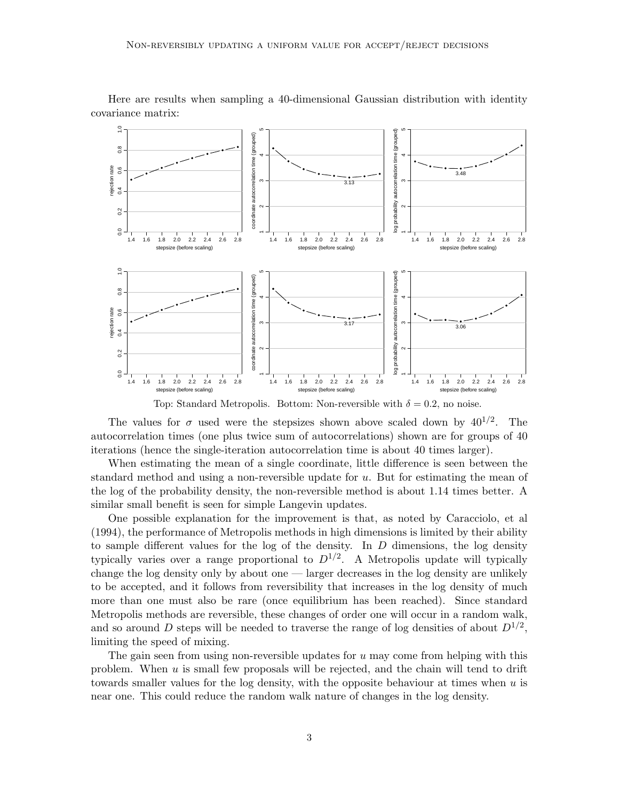

Here are results when sampling a 40-dimensional Gaussian distribution with identity covariance matrix:

Top: Standard Metropolis. Bottom: Non-reversible with  $\delta = 0.2$ , no noise.

The values for  $\sigma$  used were the stepsizes shown above scaled down by  $40^{1/2}$ . The autocorrelation times (one plus twice sum of autocorrelations) shown are for groups of 40 iterations (hence the single-iteration autocorrelation time is about 40 times larger).

When estimating the mean of a single coordinate, little difference is seen between the standard method and using a non-reversible update for  $u$ . But for estimating the mean of the log of the probability density, the non-reversible method is about 1.14 times better. A similar small benefit is seen for simple Langevin updates.

One possible explanation for the improvement is that, as noted by Caracciolo, et al (1994), the performance of Metropolis methods in high dimensions is limited by their ability to sample different values for the log of the density. In  $D$  dimensions, the log density typically varies over a range proportional to  $D^{1/2}$ . A Metropolis update will typically change the log density only by about one — larger decreases in the log density are unlikely to be accepted, and it follows from reversibility that increases in the log density of much more than one must also be rare (once equilibrium has been reached). Since standard Metropolis methods are reversible, these changes of order one will occur in a random walk, and so around D steps will be needed to traverse the range of log densities of about  $D^{1/2}$ , limiting the speed of mixing.

The gain seen from using non-reversible updates for  $u$  may come from helping with this problem. When  $u$  is small few proposals will be rejected, and the chain will tend to drift towards smaller values for the log density, with the opposite behaviour at times when  $u$  is near one. This could reduce the random walk nature of changes in the log density.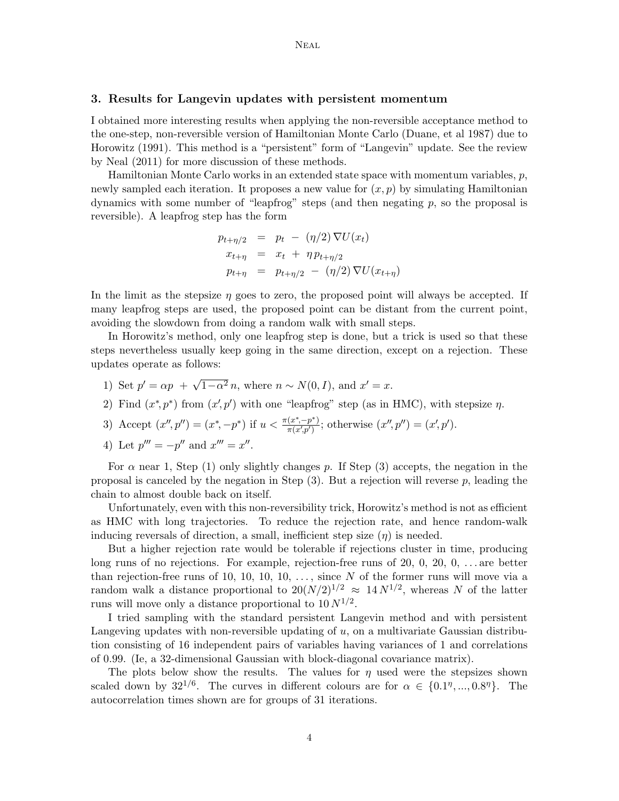#### 3. Results for Langevin updates with persistent momentum

I obtained more interesting results when applying the non-reversible acceptance method to the one-step, non-reversible version of Hamiltonian Monte Carlo (Duane, et al 1987) due to Horowitz (1991). This method is a "persistent" form of "Langevin" update. See the review by Neal (2011) for more discussion of these methods.

Hamiltonian Monte Carlo works in an extended state space with momentum variables, p, newly sampled each iteration. It proposes a new value for  $(x, p)$  by simulating Hamiltonian dynamics with some number of "leapfrog" steps (and then negating p, so the proposal is reversible). A leapfrog step has the form

$$
p_{t+\eta/2} = p_t - (\eta/2) \nabla U(x_t)
$$
  
\n
$$
x_{t+\eta} = x_t + \eta p_{t+\eta/2}
$$
  
\n
$$
p_{t+\eta} = p_{t+\eta/2} - (\eta/2) \nabla U(x_{t+\eta})
$$

In the limit as the stepsize  $\eta$  goes to zero, the proposed point will always be accepted. If many leapfrog steps are used, the proposed point can be distant from the current point, avoiding the slowdown from doing a random walk with small steps.

In Horowitz's method, only one leapfrog step is done, but a trick is used so that these steps nevertheless usually keep going in the same direction, except on a rejection. These updates operate as follows:

- 1) Set  $p' = \alpha p + \sqrt{1 \alpha^2} n$ , where  $n \sim N(0, I)$ , and  $x' = x$ .
- 2) Find  $(x^*, p^*)$  from  $(x', p')$  with one "leapfrog" step (as in HMC), with stepsize  $\eta$ .
- 3) Accept  $(x'', p'') = (x^*, -p^*)$  if  $u < \frac{\pi(x^*, -p^*)}{\pi(x', p')}$  $\frac{(x^*, -p^*)}{\pi(x', p')}$ ; otherwise  $(x'', p'') = (x', p')$ .
- 4) Let  $p''' = -p''$  and  $x''' = x''$ .

For  $\alpha$  near 1, Step (1) only slightly changes p. If Step (3) accepts, the negation in the proposal is canceled by the negation in Step  $(3)$ . But a rejection will reverse p, leading the chain to almost double back on itself.

Unfortunately, even with this non-reversibility trick, Horowitz's method is not as efficient as HMC with long trajectories. To reduce the rejection rate, and hence random-walk inducing reversals of direction, a small, inefficient step size  $(\eta)$  is needed.

But a higher rejection rate would be tolerable if rejections cluster in time, producing long runs of no rejections. For example, rejection-free runs of 20, 0, 20, 0,  $\dots$  are better than rejection-free runs of 10, 10, 10, 10, ..., since  $N$  of the former runs will move via a random walk a distance proportional to  $20(N/2)^{1/2} \approx 14 N^{1/2}$ , whereas N of the latter runs will move only a distance proportional to  $10 N^{1/2}$ .

I tried sampling with the standard persistent Langevin method and with persistent Langeving updates with non-reversible updating of  $u$ , on a multivariate Gaussian distribution consisting of 16 independent pairs of variables having variances of 1 and correlations of 0.99. (Ie, a 32-dimensional Gaussian with block-diagonal covariance matrix).

The plots below show the results. The values for  $\eta$  used were the stepsizes shown scaled down by  $32^{1/6}$ . The curves in different colours are for  $\alpha \in \{0.1^{\eta}, ..., 0.8^{\eta}\}$ . The autocorrelation times shown are for groups of 31 iterations.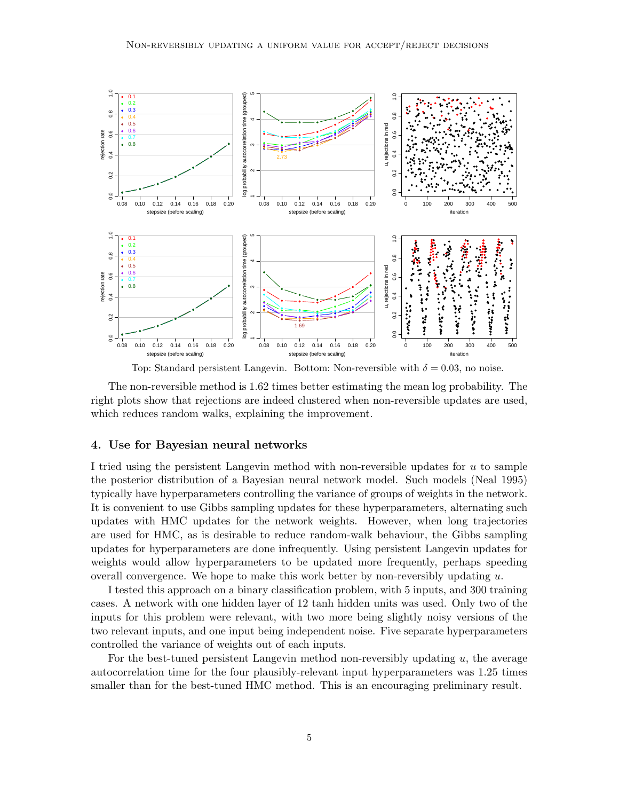

Top: Standard persistent Langevin. Bottom: Non-reversible with  $\delta = 0.03$ , no noise.

The non-reversible method is 1.62 times better estimating the mean log probability. The right plots show that rejections are indeed clustered when non-reversible updates are used, which reduces random walks, explaining the improvement.

### 4. Use for Bayesian neural networks

I tried using the persistent Langevin method with non-reversible updates for u to sample the posterior distribution of a Bayesian neural network model. Such models (Neal 1995) typically have hyperparameters controlling the variance of groups of weights in the network. It is convenient to use Gibbs sampling updates for these hyperparameters, alternating such updates with HMC updates for the network weights. However, when long trajectories are used for HMC, as is desirable to reduce random-walk behaviour, the Gibbs sampling updates for hyperparameters are done infrequently. Using persistent Langevin updates for weights would allow hyperparameters to be updated more frequently, perhaps speeding overall convergence. We hope to make this work better by non-reversibly updating  $u$ .

I tested this approach on a binary classification problem, with 5 inputs, and 300 training cases. A network with one hidden layer of 12 tanh hidden units was used. Only two of the inputs for this problem were relevant, with two more being slightly noisy versions of the two relevant inputs, and one input being independent noise. Five separate hyperparameters controlled the variance of weights out of each inputs.

For the best-tuned persistent Langevin method non-reversibly updating  $u$ , the average autocorrelation time for the four plausibly-relevant input hyperparameters was 1.25 times smaller than for the best-tuned HMC method. This is an encouraging preliminary result.